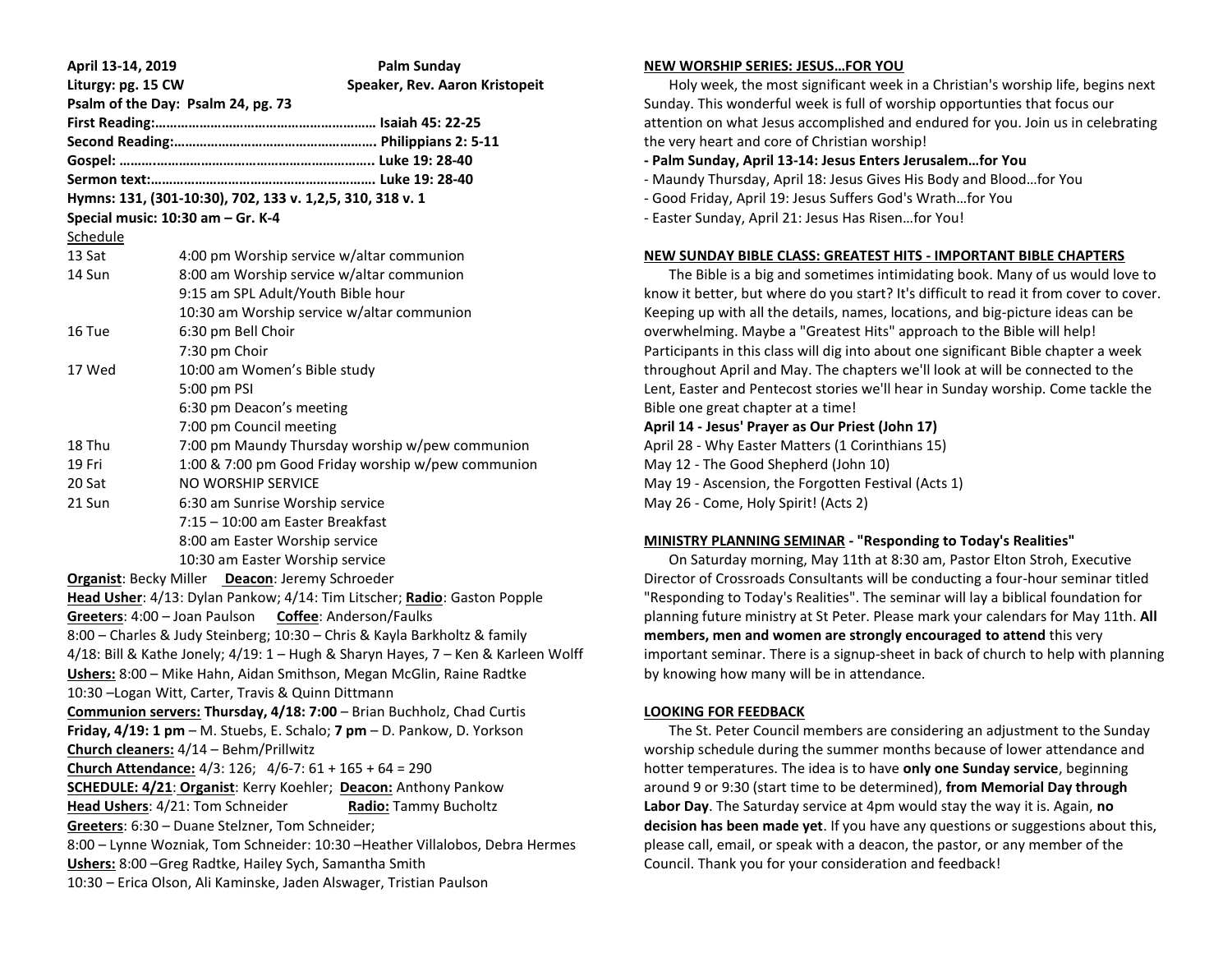| April 13-14, 2019                                                                 | Palm Sunday                                                               |
|-----------------------------------------------------------------------------------|---------------------------------------------------------------------------|
| Liturgy: pg. 15 CW<br>Speaker, Rev. Aaron Kristopeit                              |                                                                           |
| Psalm of the Day: Psalm 24, pg. 73                                                |                                                                           |
|                                                                                   |                                                                           |
|                                                                                   |                                                                           |
|                                                                                   |                                                                           |
|                                                                                   |                                                                           |
| Hymns: 131, (301-10:30), 702, 133 v. 1,2,5, 310, 318 v. 1                         |                                                                           |
|                                                                                   | Special music: 10:30 am - Gr. K-4                                         |
| Schedule                                                                          |                                                                           |
| 13 Sat                                                                            | 4:00 pm Worship service w/altar communion                                 |
| 14 Sun                                                                            | 8:00 am Worship service w/altar communion                                 |
|                                                                                   | 9:15 am SPL Adult/Youth Bible hour                                        |
|                                                                                   | 10:30 am Worship service w/altar communion                                |
| 16 Tue                                                                            | 6:30 pm Bell Choir                                                        |
|                                                                                   | 7:30 pm Choir                                                             |
| 17 Wed                                                                            | 10:00 am Women's Bible study                                              |
|                                                                                   | 5:00 pm PSI                                                               |
|                                                                                   | 6:30 pm Deacon's meeting                                                  |
|                                                                                   | 7:00 pm Council meeting                                                   |
| 18 Thu                                                                            | 7:00 pm Maundy Thursday worship w/pew communion                           |
| 19 Fri                                                                            | 1:00 & 7:00 pm Good Friday worship w/pew communion                        |
| 20 Sat                                                                            | NO WORSHIP SERVICE                                                        |
| 21 Sun                                                                            | 6:30 am Sunrise Worship service                                           |
|                                                                                   | 7:15 - 10:00 am Easter Breakfast                                          |
|                                                                                   | 8:00 am Easter Worship service                                            |
|                                                                                   | 10:30 am Easter Worship service                                           |
| Organist: Becky Miller Deacon: Jeremy Schroeder                                   |                                                                           |
| Head Usher: 4/13: Dylan Pankow; 4/14: Tim Litscher; Radio: Gaston Popple          |                                                                           |
|                                                                                   | Greeters: 4:00 - Joan Paulson Coffee: Anderson/Faulks                     |
|                                                                                   | 8:00 - Charles & Judy Steinberg; 10:30 - Chris & Kayla Barkholtz & family |
| 4/18: Bill & Kathe Jonely; 4/19: 1 - Hugh & Sharyn Hayes, 7 - Ken & Karleen Wolff |                                                                           |
| Ushers: 8:00 - Mike Hahn, Aidan Smithson, Megan McGlin, Raine Radtke              |                                                                           |
| 10:30 - Logan Witt, Carter, Travis & Quinn Dittmann                               |                                                                           |
| Communion servers: Thursday, 4/18: 7:00 - Brian Buchholz, Chad Curtis             |                                                                           |
| Friday, 4/19: 1 pm - M. Stuebs, E. Schalo; 7 pm - D. Pankow, D. Yorkson           |                                                                           |
| Church cleaners: 4/14 - Behm/Prillwitz                                            |                                                                           |
| Church Attendance: $4/3$ : 126; $4/6$ -7: $61 + 165 + 64 = 290$                   |                                                                           |
| <b>SCHEDULE: 4/21: Organist:</b> Kerry Koehler; Deacon: Anthony Pankow            |                                                                           |
| Head Ushers: 4/21: Tom Schneider<br>Radio: Tammy Bucholtz                         |                                                                           |
| Greeters: 6:30 - Duane Stelzner, Tom Schneider;                                   |                                                                           |
| 8:00 - Lynne Wozniak, Tom Schneider: 10:30 - Heather Villalobos, Debra Hermes     |                                                                           |
| Ushers: 8:00 - Greg Radtke, Hailey Sych, Samantha Smith                           |                                                                           |
| 10:30 - Erica Olson, Ali Kaminske, Jaden Alswager, Tristian Paulson               |                                                                           |

#### **NEW WORSHIP SERIES: JESUS…FOR YOU**

 Holy week, the most significant week in a Christian's worship life, begins next Sunday. This wonderful week is full of worship opportunties that focus our attention on what Jesus accomplished and endured for you. Join us in celebrating the very heart and core of Christian worship!

## **- Palm Sunday, April 13-14: Jesus Enters Jerusalem…for You**

- Maundy Thursday, April 18: Jesus Gives His Body and Blood…for You
- Good Friday, April 19: Jesus Suffers God's Wrath…for You
- Easter Sunday, April 21: Jesus Has Risen…for You!

# **NEW SUNDAY BIBLE CLASS: GREATEST HITS - IMPORTANT BIBLE CHAPTERS**

 The Bible is a big and sometimes intimidating book. Many of us would love to know it better, but where do you start? It's difficult to read it from cover to cover. Keeping up with all the details, names, locations, and big-picture ideas can be overwhelming. Maybe a "Greatest Hits" approach to the Bible will help! Participants in this class will dig into about one significant Bible chapter a week throughout April and May. The chapters we'll look at will be connected to the Lent, Easter and Pentecost stories we'll hear in Sunday worship. Come tackle the Bible one great chapter at a time!

# **April 14 - Jesus' Prayer as Our Priest (John 17)**

April 28 - Why Easter Matters (1 Corinthians 15) May 12 - The Good Shepherd (John 10) May 19 - Ascension, the Forgotten Festival (Acts 1) May 26 - Come, Holy Spirit! (Acts 2)

# **MINISTRY PLANNING SEMINAR - "Responding to Today's Realities"**

 On Saturday morning, May 11th at 8:30 am, Pastor Elton Stroh, Executive Director of Crossroads Consultants will be conducting a four-hour seminar titled "Responding to Today's Realities". The seminar will lay a biblical foundation for planning future ministry at St Peter. Please mark your calendars for May 11th. **All members, men and women are strongly encouraged to attend** this very important seminar. There is a signup-sheet in back of church to help with planning by knowing how many will be in attendance.

# **LOOKING FOR FEEDBACK**

 The St. Peter Council members are considering an adjustment to the Sunday worship schedule during the summer months because of lower attendance and hotter temperatures. The idea is to have **only one Sunday service**, beginning around 9 or 9:30 (start time to be determined), **from Memorial Day through Labor Day**. The Saturday service at 4pm would stay the way it is. Again, **no decision has been made yet**. If you have any questions or suggestions about this, please call, email, or speak with a deacon, the pastor, or any member of the Council. Thank you for your consideration and feedback!